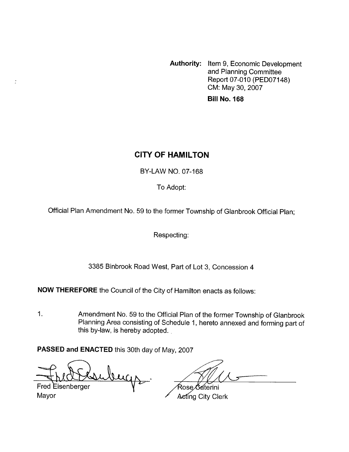**Authority:** Item **9,** Economic Development and Planning Committee Report 07-010 (PED07148) CM: May 30,2007 **Bill No. 168** 

# **CITY OF HAMILTON**

BY-LAW NO. 07-168

To Adopt:

Official Plan Amendment No. 59 to the former Township of Glanbrook Official Plan;

Respecting:

3385 Binbrook Road West, Part of Lot 3, Concession **4** 

**NOW THEREFORE** the Council of the City of Hamilton enacts as follows:

1. Amendment No. 59 to the Official Plan of the former Township of Glanbrook Planning Area consisting of Schedule 1, hereto annexed and forming part of this by-law, is hereby adopted.

**PASSED and ENACTED** this 30th day of May, 2007

bugs

**Fred Eisenberger** Mayor

 $\frac{\pi}{2}$ 

Rose ∕Gaterini Aeting City Clerk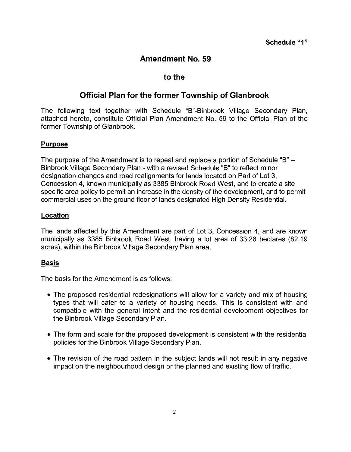# **Amendment No. 59**

### **to the**

## **Official Plan for the former Township of Glanbrook**

The following text together with Schedule "B"-Binbrook Village Secondary Plan, attached hereto, constitute Official Plan Amendment No. 59 to the Official Plan of the former Township *of* Glanbrook.

#### **Purpose**

The purpose of the Amendment is to repeal and replace a portion of Schedule "B" - Binbrook Village Secondary Plan - with a revised Schedule "B" to reflect minor designation changes and road realignments for lands located on Part of Lot 3, Concession 4, known municipally as 3385 Binbrook Road West, and to create a site specific area policy to permit an increase in the density of the development, and to permit commercial uses on the ground floor of lands designated High Density Residential.

#### Location

The lands affected by this Amendment are part of Lot 3, Concession 4, and are known municipally as 3385 Binbrook Road West, having a lot area of 33.26 hectares (82.19 acres), within the Binbrook Village Secondary Plan area.

### **Basis**

The basis for the Amendment is as follows:

- The proposed residential redesignations will allow for a variety and mix of housing types that will cater to a variety of housing needs. This is consistent with and compatible with the general intent and the residential development objectives for the Binbrook Village Secondary Plan.
- The form and scale for the proposed development is consistent with the residential policies for the Binbrook Village Secondary Plan.
- The revision of the road pattern in the subject lands will not result in any negative impact on the neighbourhood design or the planned and existing flow of traffic.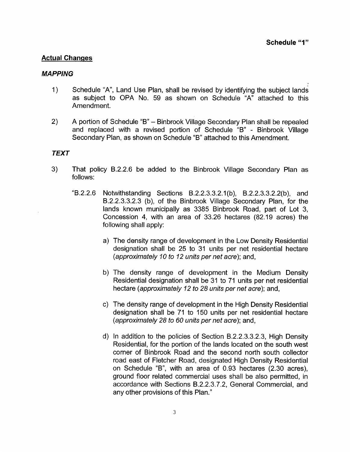#### **Actual Changes**

#### *MAPPING*

- 1) Schedule "A", Land Use Plan, shall be revised by identifying the subject lands as subject to OPA No. 59 as shown on Schedule "A" attached to this Amendment.
- 2) A portion of Schedule "B" Binbrook Village Secondary Plan shall be repealed and replaced with a revised portion of Schedule "B" - Binbrook Village Secondary Plan, as shown on Schedule "B" attached to this Amendment.

#### *TEXT*

- 3) That policy B.2.2.6 be added to the Binbrook Village Secondary Plan as follows:
	- "B.2.2.6 Notwithstanding Sections B.2.2.3.3.2.1 (b), B.2.2.3.3.2.2( b), and B.2.2.3.3.2.3 (b), of the Binbrook Village Secondary Plan, for the lands known municipally as 3385 Binbrook Road, part of Lot 3, Concession **4,** with an area of 33.26 hectares (82.19 acres) the following shall apply:
		- a) The density range of development in the Low Density Residential designation shall be 25 to 31 units per net residential hectare *(approximately 10 to I2 units per net acre);* and,
		- b) The density range of development in the Medium Density Residential designation shall be 31 to 71 units per net residential hectare *(approximately 12 to 28 units per net acre);* and,
		- c) The density range of development in the High Density Residential designation shall be 71 to 150 units per net residential hectare *(approximately* 28 *to 60 units per net acre);* and,
		- d) In addition to the policies of Section B.2.2.3.3.2.3, High Density Residential, for the portion of the lands located on the south west corner of Binbrook Road and the second north south collector road east of Fletcher Road, designated High Density Residential on Schedule "B", with an area of 0.93 hectares (2.30 acres), ground floor related commercial uses shall be also permitted, in accordance with Sections B.2.2.3.7.2, General Commercial, and any other provisions of this Plan."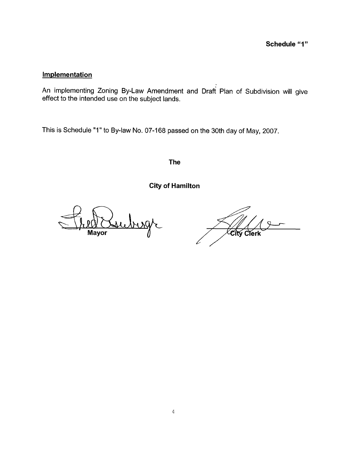### **Implementation**

An implementing Zoning By-Law Amendment and Draft Plan of Subdivision will give effect to the intended use on the subject lands.

This is Schedule "1" to By-law No. 07-168 passed on the 30th day of May, 2007.

**The** 

**City of Hamilton** 

Mayor

City **Clerk**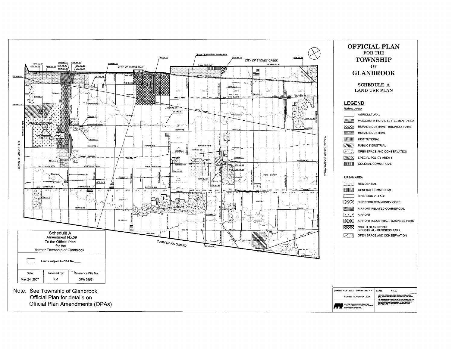